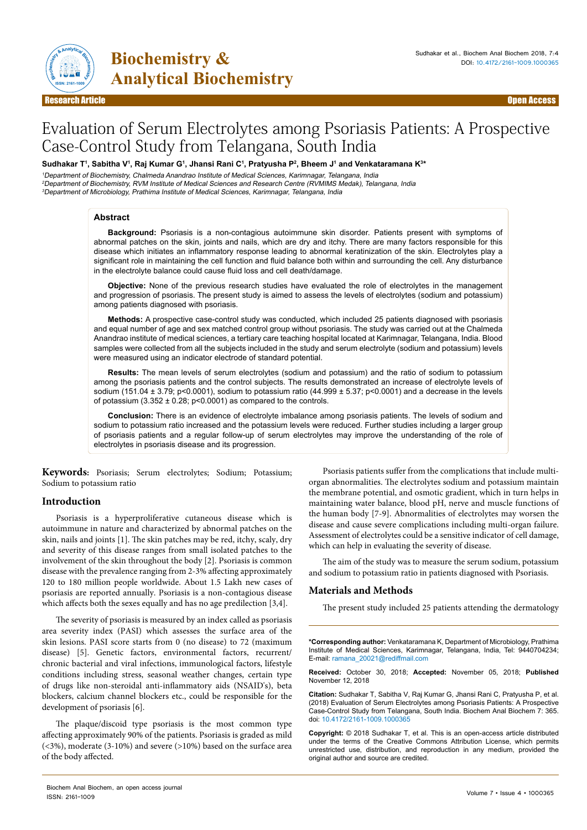

**Biochemistry & Analytical Biochemistry** 

# Evaluation of Serum Electrolytes among Psoriasis Patients: A Prospective Case-Control Study from Telangana, South India

### **Sudhakar T1 , Sabitha V1 , Raj Kumar G1 , Jhansi Rani C1 , Pratyusha P2 , Bheem J1 and Venkataramana K3 \***

<sup>1</sup>Department of Biochemistry, Chalmeda Anandrao Institute of Medical Sciences, Karimnagar, Telangana, India <sup>2</sup>Department of Biochemistry, RVM Institute of Medical Sciences and Research Centre (RVMIMS Medak), Telangana, India <sup>3</sup>Department of Microbiology, Prathima Institute of Medical Sciences, Karimnagar, Telangana, India

#### **Abstract**

**Background:** Psoriasis is a non-contagious autoimmune skin disorder. Patients present with symptoms of abnormal patches on the skin, joints and nails, which are dry and itchy. There are many factors responsible for this disease which initiates an inflammatory response leading to abnormal keratinization of the skin. Electrolytes play a significant role in maintaining the cell function and fluid balance both within and surrounding the cell. Any disturbance in the electrolyte balance could cause fluid loss and cell death/damage.

**Objective:** None of the previous research studies have evaluated the role of electrolytes in the management and progression of psoriasis. The present study is aimed to assess the levels of electrolytes (sodium and potassium) among patients diagnosed with psoriasis.

**Methods:** A prospective case-control study was conducted, which included 25 patients diagnosed with psoriasis and equal number of age and sex matched control group without psoriasis. The study was carried out at the Chalmeda Anandrao institute of medical sciences, a tertiary care teaching hospital located at Karimnagar, Telangana, India. Blood samples were collected from all the subjects included in the study and serum electrolyte (sodium and potassium) levels were measured using an indicator electrode of standard potential.

**Results:** The mean levels of serum electrolytes (sodium and potassium) and the ratio of sodium to potassium among the psoriasis patients and the control subjects. The results demonstrated an increase of electrolyte levels of sodium (151.04 ± 3.79; p<0.0001), sodium to potassium ratio (44.999 ± 5.37; p<0.0001) and a decrease in the levels of potassium  $(3.352 \pm 0.28; p<0.0001)$  as compared to the controls.

**Conclusion:** There is an evidence of electrolyte imbalance among psoriasis patients. The levels of sodium and sodium to potassium ratio increased and the potassium levels were reduced. Further studies including a larger group of psoriasis patients and a regular follow-up of serum electrolytes may improve the understanding of the role of electrolytes in psoriasis disease and its progression.

**Keywords:** Psoriasis; Serum electrolytes; Sodium; Potassium; Sodium to potassium ratio

# **Introduction**

Psoriasis is a hyperproliferative cutaneous disease which is autoimmune in nature and characterized by abnormal patches on the skin, nails and joints [1]. The skin patches may be red, itchy, scaly, dry and severity of this disease ranges from small isolated patches to the involvement of the skin throughout the body [2]. Psoriasis is common disease with the prevalence ranging from 2-3% affecting approximately 120 to 180 million people worldwide. About 1.5 Lakh new cases of psoriasis are reported annually. Psoriasis is a non-contagious disease which affects both the sexes equally and has no age predilection [3,4].

The severity of psoriasis is measured by an index called as psoriasis area severity index (PASI) which assesses the surface area of the skin lesions. PASI score starts from 0 (no disease) to 72 (maximum disease) [5]. Genetic factors, environmental factors, recurrent/ chronic bacterial and viral infections, immunological factors, lifestyle conditions including stress, seasonal weather changes, certain type of drugs like non-steroidal anti-inflammatory aids (NSAID's), beta blockers, calcium channel blockers etc., could be responsible for the development of psoriasis [6].

The plaque/discoid type psoriasis is the most common type affecting approximately 90% of the patients. Psoriasis is graded as mild (<3%), moderate (3-10%) and severe (>10%) based on the surface area of the body affected.

Psoriasis patients suffer from the complications that include multiorgan abnormalities. The electrolytes sodium and potassium maintain the membrane potential, and osmotic gradient, which in turn helps in maintaining water balance, blood pH, nerve and muscle functions of the human body [7-9]. Abnormalities of electrolytes may worsen the disease and cause severe complications including multi-organ failure. Assessment of electrolytes could be a sensitive indicator of cell damage, which can help in evaluating the severity of disease.

The aim of the study was to measure the serum sodium, potassium and sodium to potassium ratio in patients diagnosed with Psoriasis.

### **Materials and Methods**

The present study included 25 patients attending the dermatology

**\*Corresponding author:** Venkataramana K, Department of Microbiology, Prathima Institute of Medical Sciences, Karimnagar, Telangana, India, Tel: 9440704234; E-mail: ramana\_20021@rediffmail.com

**Received:** October 30, 2018; **Accepted:** November 05, 2018; **Published** November 12, 2018

**Citation:** Sudhakar T, Sabitha V, Raj Kumar G, Jhansi Rani C, Pratyusha P, et al. (2018) Evaluation of Serum Electrolytes among Psoriasis Patients: A Prospective Case-Control Study from Telangana, South India. Biochem Anal Biochem 7: 365. doi: 10.4172/2161-1009.1000365

**Copyright:** © 2018 Sudhakar T, et al. This is an open-access article distributed under the terms of the Creative Commons Attribution License, which permits unrestricted use, distribution, and reproduction in any medium, provided the original author and source are credited.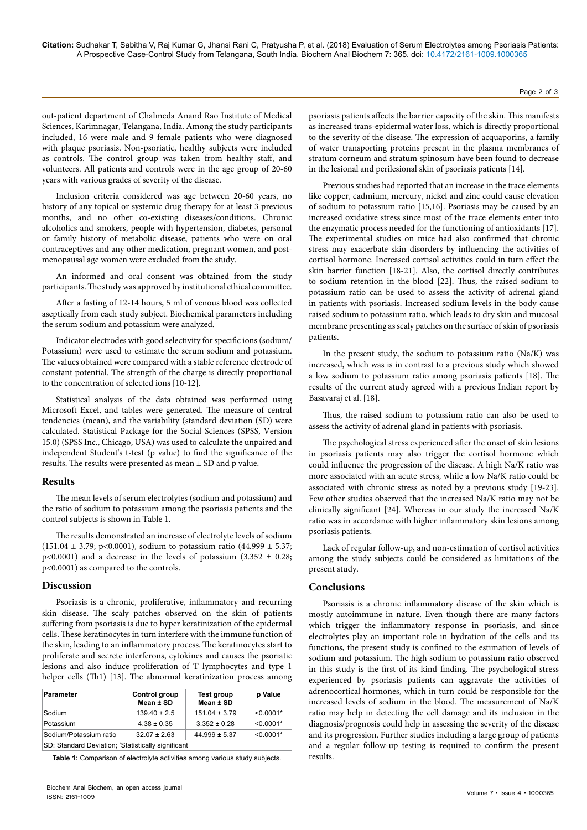out-patient department of Chalmeda Anand Rao Institute of Medical Sciences, Karimnagar, Telangana, India. Among the study participants included, 16 were male and 9 female patients who were diagnosed with plaque psoriasis. Non-psoriatic, healthy subjects were included as controls. The control group was taken from healthy staff, and volunteers. All patients and controls were in the age group of 20-60 years with various grades of severity of the disease.

Inclusion criteria considered was age between 20-60 years, no history of any topical or systemic drug therapy for at least 3 previous months, and no other co-existing diseases/conditions. Chronic alcoholics and smokers, people with hypertension, diabetes, personal or family history of metabolic disease, patients who were on oral contraceptives and any other medication, pregnant women, and postmenopausal age women were excluded from the study.

An informed and oral consent was obtained from the study participants. The study was approved by institutional ethical committee.

After a fasting of 12-14 hours, 5 ml of venous blood was collected aseptically from each study subject. Biochemical parameters including the serum sodium and potassium were analyzed.

Indicator electrodes with good selectivity for specific ions (sodium/ Potassium) were used to estimate the serum sodium and potassium. The values obtained were compared with a stable reference electrode of constant potential. The strength of the charge is directly proportional to the concentration of selected ions [10-12].

Statistical analysis of the data obtained was performed using Microsoft Excel, and tables were generated. The measure of central tendencies (mean), and the variability (standard deviation (SD) were calculated. Statistical Package for the Social Sciences (SPSS, Version 15.0) (SPSS Inc., Chicago, USA) was used to calculate the unpaired and independent Student's t-test (p value) to find the significance of the results. The results were presented as mean ± SD and p value.

### **Results**

The mean levels of serum electrolytes (sodium and potassium) and the ratio of sodium to potassium among the psoriasis patients and the control subjects is shown in Table 1.

The results demonstrated an increase of electrolyte levels of sodium  $(151.04 \pm 3.79; p<0.0001)$ , sodium to potassium ratio  $(44.999 \pm 5.37;$ p<0.0001) and a decrease in the levels of potassium (3.352  $\pm$  0.28; p<0.0001) as compared to the controls.

#### **Discussion**

Psoriasis is a chronic, proliferative, inflammatory and recurring skin disease. The scaly patches observed on the skin of patients suffering from psoriasis is due to hyper keratinization of the epidermal cells. These keratinocytes in turn interfere with the immune function of the skin, leading to an inflammatory process. The keratinocytes start to proliferate and secrete interferons, cytokines and causes the psoriatic lesions and also induce proliferation of T lymphocytes and type 1 helper cells (Th1) [13]. The abnormal keratinization process among

| <b>Parameter</b>                                   | Control group<br>Mean ± SD | <b>Test group</b><br>Mean ± SD | p Value     |
|----------------------------------------------------|----------------------------|--------------------------------|-------------|
| Sodium                                             | $139.40 \pm 2.5$           | $151.04 \pm 3.79$              | $< 0.0001*$ |
| Potassium                                          | $4.38 \pm 0.35$            | $3.352 \pm 0.28$               | $< 0.0001*$ |
| Sodium/Potassium ratio                             | $32.07 \pm 2.63$           | $44.999 \pm 5.37$              | $< 0.0001*$ |
| SD: Standard Deviation; 'Statistically significant |                            |                                |             |

**Table 1:** Comparison of electrolyte activities among various study subjects.

psoriasis patients affects the barrier capacity of the skin. This manifests as increased trans-epidermal water loss, which is directly proportional to the severity of the disease. The expression of acquaporins, a family of water transporting proteins present in the plasma membranes of stratum corneum and stratum spinosum have been found to decrease in the lesional and perilesional skin of psoriasis patients [14].

Previous studies had reported that an increase in the trace elements like copper, cadmium, mercury, nickel and zinc could cause elevation of sodium to potassium ratio [15,16]. Psoriasis may be caused by an increased oxidative stress since most of the trace elements enter into the enzymatic process needed for the functioning of antioxidants [17]. The experimental studies on mice had also confirmed that chronic stress may exacerbate skin disorders by influencing the activities of cortisol hormone. Increased cortisol activities could in turn effect the skin barrier function [18-21]. Also, the cortisol directly contributes to sodium retention in the blood [22]. Thus, the raised sodium to potassium ratio can be used to assess the activity of adrenal gland in patients with psoriasis. Increased sodium levels in the body cause raised sodium to potassium ratio, which leads to dry skin and mucosal membrane presenting as scaly patches on the surface of skin of psoriasis patients.

In the present study, the sodium to potassium ratio (Na/K) was increased, which was is in contrast to a previous study which showed a low sodium to potassium ratio among psoriasis patients [18]. The results of the current study agreed with a previous Indian report by Basavaraj et al. [18].

Thus, the raised sodium to potassium ratio can also be used to assess the activity of adrenal gland in patients with psoriasis.

The psychological stress experienced after the onset of skin lesions in psoriasis patients may also trigger the cortisol hormone which could influence the progression of the disease. A high Na/K ratio was more associated with an acute stress, while a low Na/K ratio could be associated with chronic stress as noted by a previous study [19-23]. Few other studies observed that the increased Na/K ratio may not be clinically significant [24]. Whereas in our study the increased Na/K ratio was in accordance with higher inflammatory skin lesions among psoriasis patients.

Lack of regular follow-up, and non-estimation of cortisol activities among the study subjects could be considered as limitations of the present study.

## **Conclusions**

Psoriasis is a chronic inflammatory disease of the skin which is mostly autoimmune in nature. Even though there are many factors which trigger the inflammatory response in psoriasis, and since electrolytes play an important role in hydration of the cells and its functions, the present study is confined to the estimation of levels of sodium and potassium. The high sodium to potassium ratio observed in this study is the first of its kind finding. The psychological stress experienced by psoriasis patients can aggravate the activities of adrenocortical hormones, which in turn could be responsible for the increased levels of sodium in the blood. The measurement of Na/K ratio may help in detecting the cell damage and its inclusion in the diagnosis/prognosis could help in assessing the severity of the disease and its progression. Further studies including a large group of patients and a regular follow-up testing is required to confirm the present results.